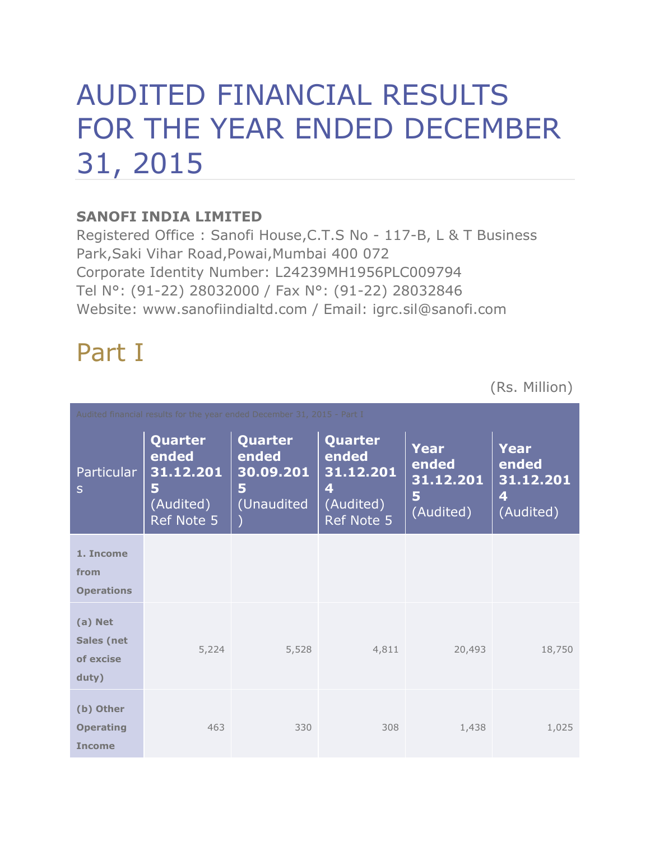# AUDITED FINANCIAL RESULTS FOR THE YEAR ENDED DECEMBER 31, 2015

### **SANOFI INDIA LIMITED**

Registered Office : Sanofi House,C.T.S No - 117-B, L & T Business Park,Saki Vihar Road,Powai,Mumbai 400 072 Corporate Identity Number: L24239MH1956PLC009794 Tel N°: (91-22) 28032000 / Fax N°: (91-22) 28032846 Website: www.sanofiindialtd.com / Email: igrc.sil@sanofi.com

# Part I

(Rs. Million)

| Audited financial results for the year ended December 31, 2015 - Part I |                                                               |                                                  |                                                                      |                                              |                                                     |  |
|-------------------------------------------------------------------------|---------------------------------------------------------------|--------------------------------------------------|----------------------------------------------------------------------|----------------------------------------------|-----------------------------------------------------|--|
| <b>Particular</b><br>S                                                  | Quarter<br>ended<br>31.12.201<br>5<br>(Audited)<br>Ref Note 5 | Quarter<br>ended<br>30.09.201<br>5<br>(Unaudited | <b>Quarter</b><br>ended<br>31.12.201<br>4<br>(Audited)<br>Ref Note 5 | Year<br>ended<br>31.12.201<br>5<br>(Audited) | <b>Year</b><br>ended<br>31.12.201<br>4<br>(Audited) |  |
| 1. Income<br>from<br><b>Operations</b>                                  |                                                               |                                                  |                                                                      |                                              |                                                     |  |
| (a) Net<br><b>Sales (net</b><br>of excise<br>duty)                      | 5,224                                                         | 5,528                                            | 4,811                                                                | 20,493                                       | 18,750                                              |  |
| (b) Other<br><b>Operating</b><br><b>Income</b>                          | 463                                                           | 330                                              | 308                                                                  | 1,438                                        | 1,025                                               |  |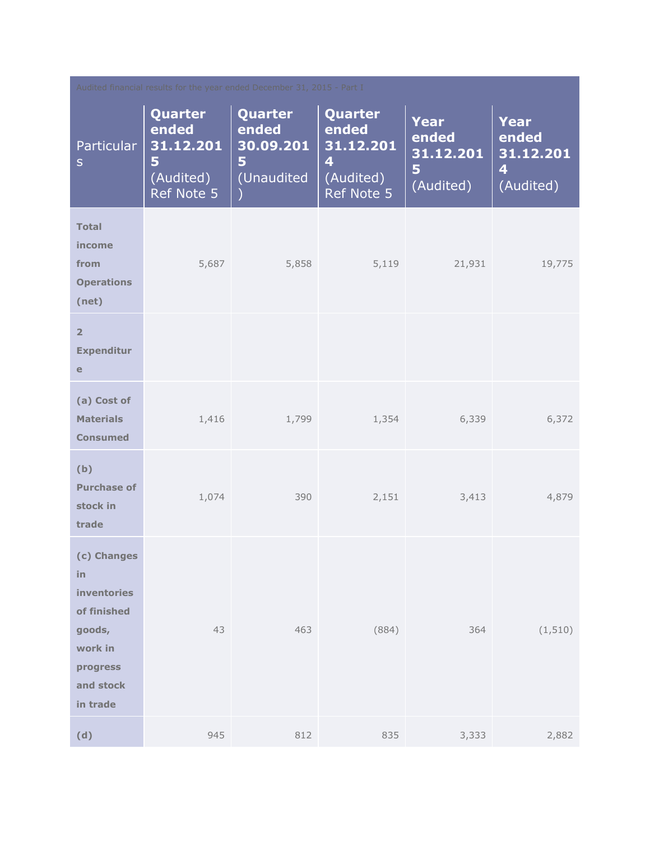| Audited financial results for the year ended December 31, 2015 - Part I                                   |                                                               |                                                  |                                                                                     |                                                     |                                              |  |
|-----------------------------------------------------------------------------------------------------------|---------------------------------------------------------------|--------------------------------------------------|-------------------------------------------------------------------------------------|-----------------------------------------------------|----------------------------------------------|--|
| <b>Particular</b><br>$\mathsf{S}$                                                                         | Quarter<br>ended<br>31.12.201<br>5<br>(Audited)<br>Ref Note 5 | Quarter<br>ended<br>30.09.201<br>5<br>(Unaudited | Quarter<br>ended<br>31.12.201<br>$\overline{\mathbf{4}}$<br>(Audited)<br>Ref Note 5 | <b>Year</b><br>ended<br>31.12.201<br>5<br>(Audited) | Year<br>ended<br>31.12.201<br>4<br>(Audited) |  |
| <b>Total</b><br>income<br>from<br><b>Operations</b><br>(net)                                              | 5,687                                                         | 5,858                                            | 5,119                                                                               | 21,931                                              | 19,775                                       |  |
| $\overline{2}$<br><b>Expenditur</b><br>e                                                                  |                                                               |                                                  |                                                                                     |                                                     |                                              |  |
| (a) Cost of<br><b>Materials</b><br><b>Consumed</b>                                                        | 1,416                                                         | 1,799                                            | 1,354                                                                               | 6,339                                               | 6,372                                        |  |
| (b)<br><b>Purchase of</b><br>stock in<br>trade                                                            | 1,074                                                         | 390                                              | 2,151                                                                               | 3,413                                               | 4,879                                        |  |
| (c) Changes<br>in<br>inventories<br>of finished<br>goods,<br>work in<br>progress<br>and stock<br>in trade | 43                                                            | 463                                              | (884)                                                                               | 364                                                 | (1, 510)                                     |  |
| (d)                                                                                                       | 945                                                           | 812                                              | 835                                                                                 | 3,333                                               | 2,882                                        |  |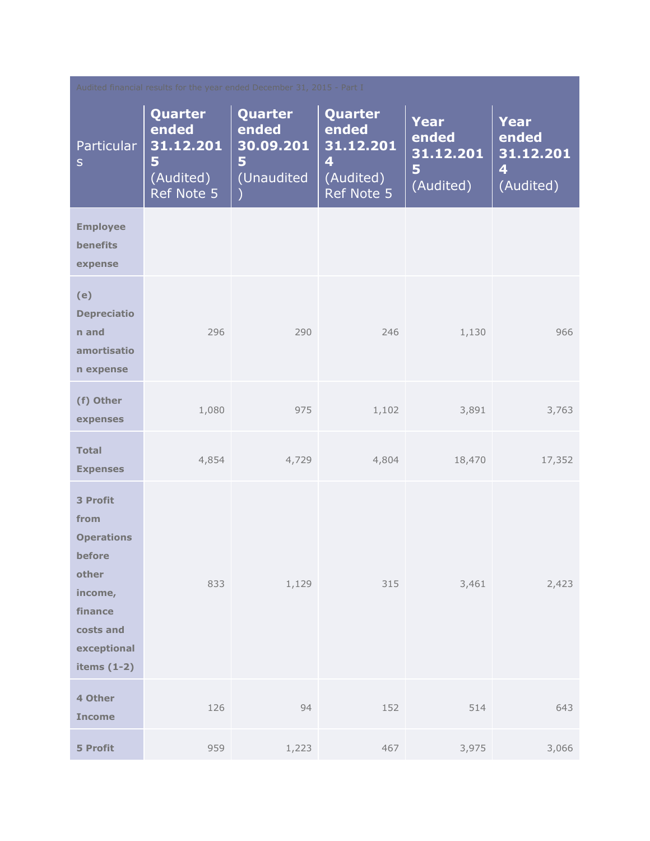| Audited financial results for the year ended December 31, 2015 - Part I                                                     |                                                                      |                                                  |                                                                                     |                                                     |                                                     |  |
|-----------------------------------------------------------------------------------------------------------------------------|----------------------------------------------------------------------|--------------------------------------------------|-------------------------------------------------------------------------------------|-----------------------------------------------------|-----------------------------------------------------|--|
| <b>Particular</b><br>$\mathsf{S}$                                                                                           | <b>Quarter</b><br>ended<br>31.12.201<br>5<br>(Audited)<br>Ref Note 5 | Quarter<br>ended<br>30.09.201<br>5<br>(Unaudited | Quarter<br>ended<br>31.12.201<br>$\overline{\mathbf{4}}$<br>(Audited)<br>Ref Note 5 | <b>Year</b><br>ended<br>31.12.201<br>5<br>(Audited) | <b>Year</b><br>ended<br>31.12.201<br>4<br>(Audited) |  |
| <b>Employee</b><br><b>benefits</b><br>expense                                                                               |                                                                      |                                                  |                                                                                     |                                                     |                                                     |  |
| (e)<br><b>Depreciatio</b><br>n and<br>amortisatio<br>n expense                                                              | 296                                                                  | 290                                              | 246                                                                                 | 1,130                                               | 966                                                 |  |
| (f) Other<br>expenses                                                                                                       | 1,080                                                                | 975                                              | 1,102                                                                               | 3,891                                               | 3,763                                               |  |
| <b>Total</b><br><b>Expenses</b>                                                                                             | 4,854                                                                | 4,729                                            | 4,804                                                                               | 18,470                                              | 17,352                                              |  |
| 3 Profit<br>from<br><b>Operations</b><br>before<br>other<br>income,<br>finance<br>costs and<br>exceptional<br>items $(1-2)$ | 833                                                                  | 1,129                                            | 315                                                                                 | 3,461                                               | 2,423                                               |  |
| 4 Other<br><b>Income</b>                                                                                                    | 126                                                                  | 94                                               | 152                                                                                 | 514                                                 | 643                                                 |  |
| <b>5 Profit</b>                                                                                                             | 959                                                                  | 1,223                                            | 467                                                                                 | 3,975                                               | 3,066                                               |  |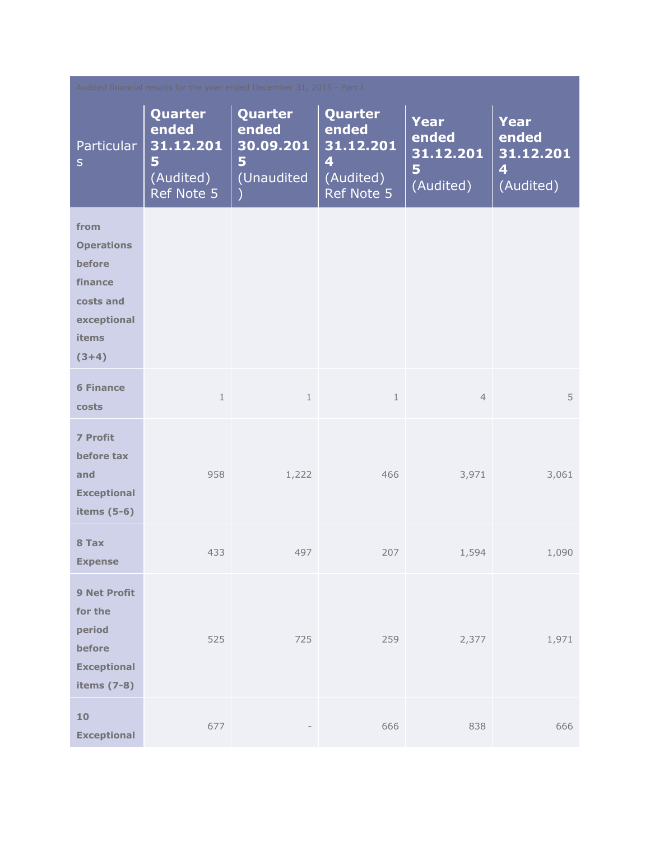| Audited financial results for the year ended December 31, 2015 - Part I                               |                                                               |                                                  |                                                               |                                                     |                                                     |  |
|-------------------------------------------------------------------------------------------------------|---------------------------------------------------------------|--------------------------------------------------|---------------------------------------------------------------|-----------------------------------------------------|-----------------------------------------------------|--|
| <b>Particular</b><br>$\mathsf{S}$                                                                     | Quarter<br>ended<br>31.12.201<br>5<br>(Audited)<br>Ref Note 5 | Quarter<br>ended<br>30.09.201<br>5<br>(Unaudited | Quarter<br>ended<br>31.12.201<br>4<br>(Audited)<br>Ref Note 5 | <b>Year</b><br>ended<br>31.12.201<br>5<br>(Audited) | <b>Year</b><br>ended<br>31.12.201<br>4<br>(Audited) |  |
| from<br><b>Operations</b><br>before<br>finance<br>costs and<br>exceptional<br><b>items</b><br>$(3+4)$ |                                                               |                                                  |                                                               |                                                     |                                                     |  |
| <b>6 Finance</b><br>costs                                                                             | $\mathbf 1$                                                   | $\mathbf{1}$                                     | $\mathbf{1}$                                                  | $\overline{4}$                                      | 5                                                   |  |
| <b>7 Profit</b><br>before tax<br>and<br><b>Exceptional</b><br>items $(5-6)$                           | 958                                                           | 1,222                                            | 466                                                           | 3,971                                               | 3,061                                               |  |
| 8 Tax<br><b>Expense</b>                                                                               | 433                                                           | 497                                              | 207                                                           | 1,594                                               | 1,090                                               |  |
| 9 Net Profit<br>for the<br>period<br>before<br><b>Exceptional</b><br>items (7-8)                      | 525                                                           | 725                                              | 259                                                           | 2,377                                               | 1,971                                               |  |
| 10<br><b>Exceptional</b>                                                                              | 677                                                           |                                                  | 666                                                           | 838                                                 | 666                                                 |  |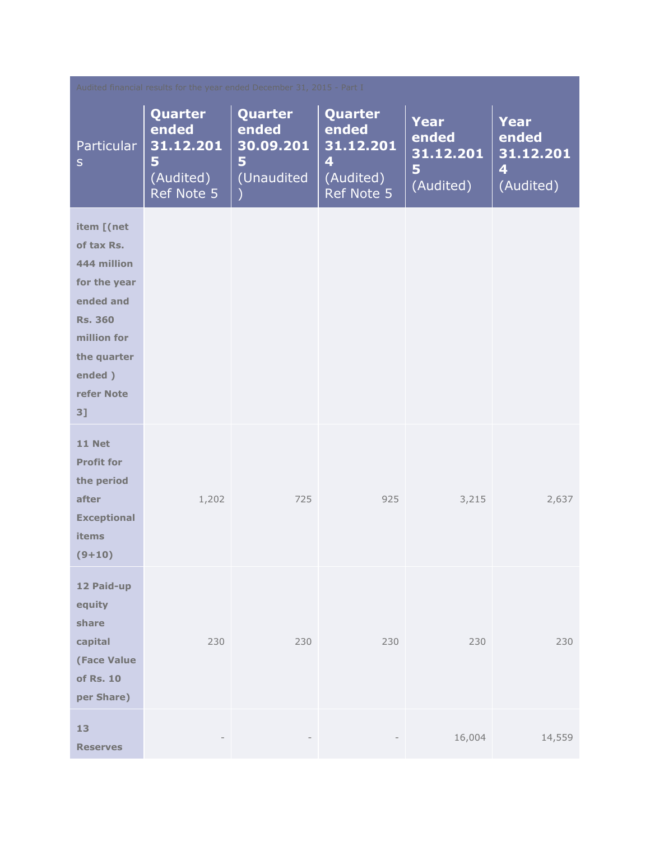| Audited financial results for the year ended December 31, 2015 - Part I                                                                            |                                                               |                                                  |                                                                                     |                                                     |                                                     |  |
|----------------------------------------------------------------------------------------------------------------------------------------------------|---------------------------------------------------------------|--------------------------------------------------|-------------------------------------------------------------------------------------|-----------------------------------------------------|-----------------------------------------------------|--|
| Particular<br>${\sf S}$                                                                                                                            | Quarter<br>ended<br>31.12.201<br>5<br>(Audited)<br>Ref Note 5 | Quarter<br>ended<br>30.09.201<br>5<br>(Unaudited | Quarter<br>ended<br>31.12.201<br>$\overline{\mathbf{4}}$<br>(Audited)<br>Ref Note 5 | <b>Year</b><br>ended<br>31.12.201<br>5<br>(Audited) | <b>Year</b><br>ended<br>31.12.201<br>4<br>(Audited) |  |
| item [(net<br>of tax Rs.<br>444 million<br>for the year<br>ended and<br><b>Rs. 360</b><br>million for<br>the quarter<br>ended)<br>refer Note<br>3] |                                                               |                                                  |                                                                                     |                                                     |                                                     |  |
| 11 Net<br><b>Profit for</b><br>the period<br>after<br><b>Exceptional</b><br>items<br>$(9+10)$                                                      | 1,202                                                         | 725                                              | 925                                                                                 | 3,215                                               | 2,637                                               |  |
| 12 Paid-up<br>equity<br>share<br>capital<br><b>(Face Value</b><br>of Rs. 10<br>per Share)                                                          | 230                                                           | 230                                              | 230                                                                                 | 230                                                 | 230                                                 |  |
| 13<br><b>Reserves</b>                                                                                                                              |                                                               |                                                  |                                                                                     | 16,004                                              | 14,559                                              |  |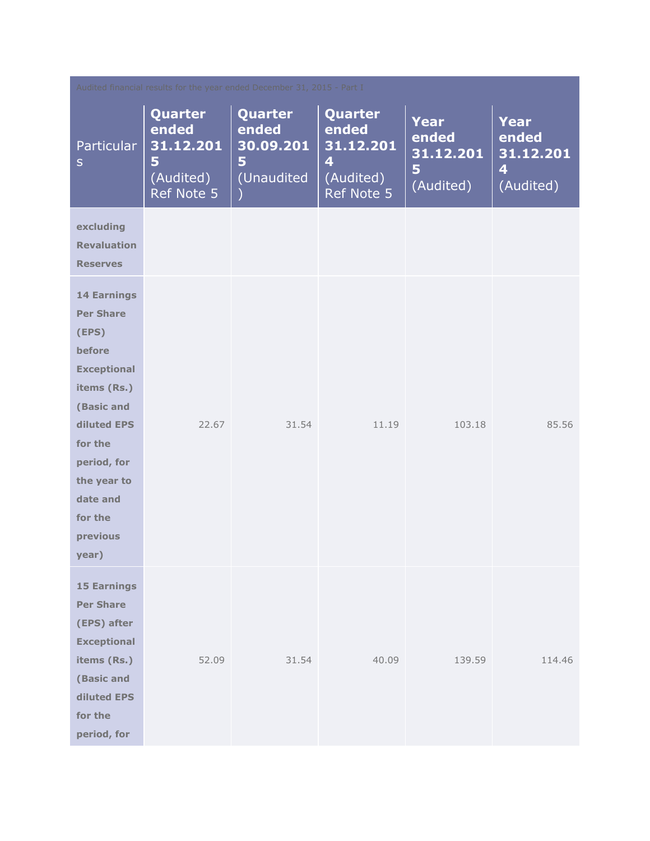| Audited financial results for the year ended December 31, 2015 - Part I                                                                                                                                          |                                                               |                                                  |                                                                                     |                                              |                                                                    |  |
|------------------------------------------------------------------------------------------------------------------------------------------------------------------------------------------------------------------|---------------------------------------------------------------|--------------------------------------------------|-------------------------------------------------------------------------------------|----------------------------------------------|--------------------------------------------------------------------|--|
| Particular<br>$\sf S$                                                                                                                                                                                            | Quarter<br>ended<br>31.12.201<br>5<br>(Audited)<br>Ref Note 5 | Quarter<br>ended<br>30.09.201<br>5<br>(Unaudited | Quarter<br>ended<br>31.12.201<br>$\overline{\mathbf{4}}$<br>(Audited)<br>Ref Note 5 | Year<br>ended<br>31.12.201<br>5<br>(Audited) | Year<br>ended<br>31.12.201<br>$\overline{\mathbf{4}}$<br>(Audited) |  |
| excluding<br><b>Revaluation</b><br><b>Reserves</b>                                                                                                                                                               |                                                               |                                                  |                                                                                     |                                              |                                                                    |  |
| <b>14 Earnings</b><br><b>Per Share</b><br>(EPS)<br>before<br><b>Exceptional</b><br>items (Rs.)<br>(Basic and<br>diluted EPS<br>for the<br>period, for<br>the year to<br>date and<br>for the<br>previous<br>year) | 22.67                                                         | 31.54                                            | 11.19                                                                               | 103.18                                       | 85.56                                                              |  |
| <b>15 Earnings</b><br><b>Per Share</b><br>(EPS) after<br><b>Exceptional</b><br>items (Rs.)<br>(Basic and<br>diluted EPS<br>for the<br>period, for                                                                | 52.09                                                         | 31.54                                            | 40.09                                                                               | 139.59                                       | 114.46                                                             |  |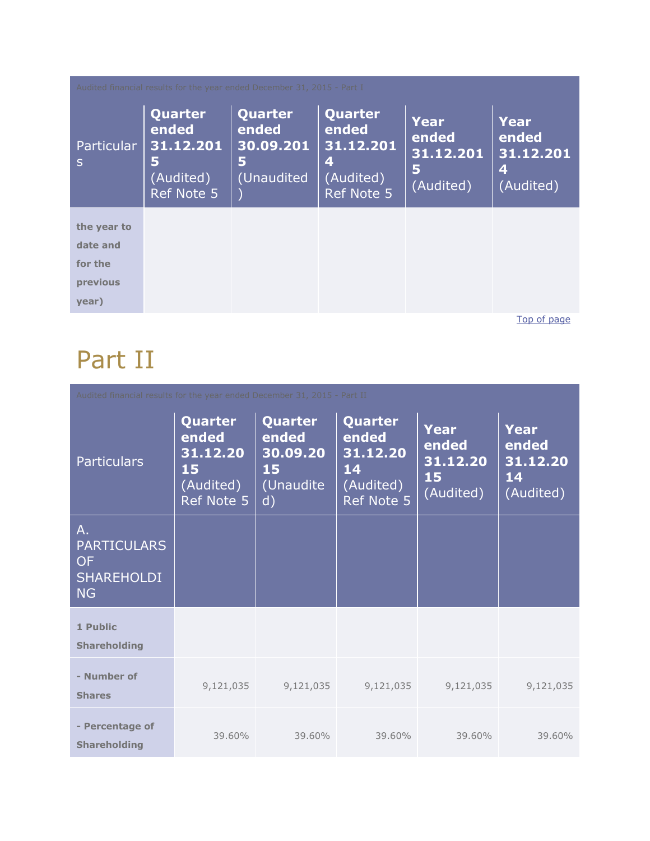| Audited financial results for the year ended December 31, 2015 - Part I |                                                                      |                                                  |                                                                      |                                              |                                              |  |
|-------------------------------------------------------------------------|----------------------------------------------------------------------|--------------------------------------------------|----------------------------------------------------------------------|----------------------------------------------|----------------------------------------------|--|
| Particular<br>S                                                         | Quarter<br>ended<br>31.12.201<br>5<br>(Audited)<br><b>Ref Note 5</b> | Quarter<br>ended<br>30.09.201<br>5<br>(Unaudited | Quarter<br>ended<br>31.12.201<br>4<br>(Audited)<br><b>Ref Note 5</b> | Year<br>ended<br>31.12.201<br>5<br>(Audited) | Year<br>ended<br>31.12.201<br>4<br>(Audited) |  |
| the year to                                                             |                                                                      |                                                  |                                                                      |                                              |                                              |  |
| date and                                                                |                                                                      |                                                  |                                                                      |                                              |                                              |  |
| for the                                                                 |                                                                      |                                                  |                                                                      |                                              |                                              |  |
| previous                                                                |                                                                      |                                                  |                                                                      |                                              |                                              |  |
| year)                                                                   |                                                                      |                                                  |                                                                      |                                              |                                              |  |

[Top of page](http://www.sanofiindialtd.com/l/pw/en/layout.jsp?cnt=C8B029D9-28F3-4601-BF42-29BF1B495C08#area_b)

# Part II

|                                                                                  | Audited financial results for the year ended December 31, 2015 - Part II |                                                                 |                                                               |                                                     |                                              |  |
|----------------------------------------------------------------------------------|--------------------------------------------------------------------------|-----------------------------------------------------------------|---------------------------------------------------------------|-----------------------------------------------------|----------------------------------------------|--|
| <b>Particulars</b>                                                               | Quarter<br>ended<br>31.12.20<br>15<br>(Audited)<br>Ref Note 5            | Quarter<br>ended<br>30.09.20<br>15<br>(Unaudite<br>$\mathsf{d}$ | Quarter<br>ended<br>31.12.20<br>14<br>(Audited)<br>Ref Note 5 | <b>Year</b><br>ended<br>31.12.20<br>15<br>(Audited) | Year<br>ended<br>31.12.20<br>14<br>(Audited) |  |
| $A_{\cdot}$<br><b>PARTICULARS</b><br><b>OF</b><br><b>SHAREHOLDI</b><br><b>NG</b> |                                                                          |                                                                 |                                                               |                                                     |                                              |  |
| 1 Public<br><b>Shareholding</b>                                                  |                                                                          |                                                                 |                                                               |                                                     |                                              |  |
| - Number of<br><b>Shares</b>                                                     | 9,121,035                                                                | 9,121,035                                                       | 9,121,035                                                     | 9,121,035                                           | 9,121,035                                    |  |
| - Percentage of<br><b>Shareholding</b>                                           | 39.60%                                                                   | 39.60%                                                          | 39.60%                                                        | 39.60%                                              | 39.60%                                       |  |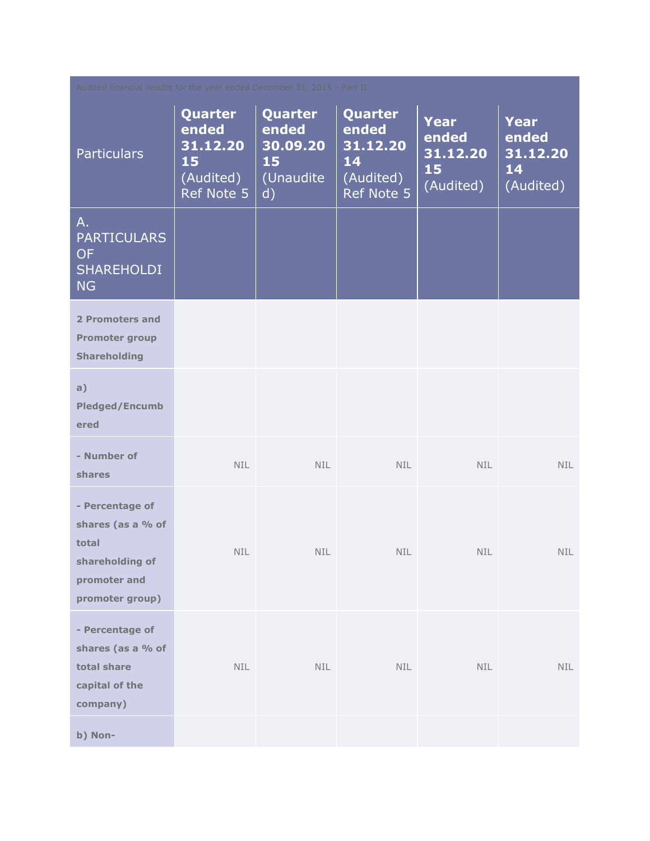| Audited financial results for the year ended December 31, 2015 - Part II                            |                                                               |                                                       |                                                               |                                                     |                                                     |
|-----------------------------------------------------------------------------------------------------|---------------------------------------------------------------|-------------------------------------------------------|---------------------------------------------------------------|-----------------------------------------------------|-----------------------------------------------------|
| <b>Particulars</b>                                                                                  | Quarter<br>ended<br>31.12.20<br>15<br>(Audited)<br>Ref Note 5 | Quarter<br>ended<br>30.09.20<br>15<br>(Unaudite<br>d) | Quarter<br>ended<br>31.12.20<br>14<br>(Audited)<br>Ref Note 5 | <b>Year</b><br>ended<br>31.12.20<br>15<br>(Audited) | <b>Year</b><br>ended<br>31.12.20<br>14<br>(Audited) |
| A.<br><b>PARTICULARS</b><br><b>OF</b><br><b>SHAREHOLDI</b><br><b>NG</b>                             |                                                               |                                                       |                                                               |                                                     |                                                     |
| 2 Promoters and<br><b>Promoter group</b><br><b>Shareholding</b>                                     |                                                               |                                                       |                                                               |                                                     |                                                     |
| a)<br><b>Pledged/Encumb</b><br>ered                                                                 |                                                               |                                                       |                                                               |                                                     |                                                     |
| - Number of<br>shares                                                                               | <b>NIL</b>                                                    | <b>NIL</b>                                            | <b>NIL</b>                                                    | <b>NIL</b>                                          | NIL.                                                |
| - Percentage of<br>shares (as a % of<br>total<br>shareholding of<br>promoter and<br>promoter group) | NIL                                                           | NIL                                                   | NIL                                                           | NIL                                                 | NIL                                                 |
| - Percentage of<br>shares (as a % of<br>total share<br>capital of the<br>company)                   | <b>NIL</b>                                                    | <b>NIL</b>                                            | NIL                                                           | NIL                                                 | <b>NIL</b>                                          |
| b) Non-                                                                                             |                                                               |                                                       |                                                               |                                                     |                                                     |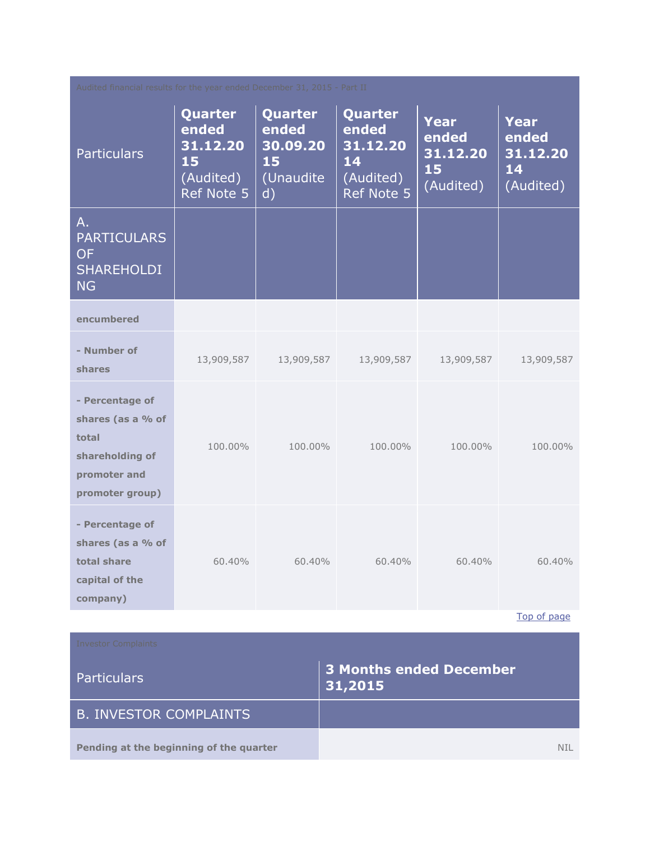| Audited financial results for the year ended December 31, 2015 - Part II                            |                                                               |                                                                 |                                                               |                                              |                                              |
|-----------------------------------------------------------------------------------------------------|---------------------------------------------------------------|-----------------------------------------------------------------|---------------------------------------------------------------|----------------------------------------------|----------------------------------------------|
| <b>Particulars</b>                                                                                  | Quarter<br>ended<br>31.12.20<br>15<br>(Audited)<br>Ref Note 5 | Quarter<br>ended<br>30.09.20<br>15<br>(Unaudite<br>$\mathsf{d}$ | Quarter<br>ended<br>31.12.20<br>14<br>(Audited)<br>Ref Note 5 | Year<br>ended<br>31.12.20<br>15<br>(Audited) | Year<br>ended<br>31.12.20<br>14<br>(Audited) |
| $A_{\cdot}$<br><b>PARTICULARS</b><br><b>OF</b><br><b>SHAREHOLDI</b><br><b>NG</b>                    |                                                               |                                                                 |                                                               |                                              |                                              |
| encumbered                                                                                          |                                                               |                                                                 |                                                               |                                              |                                              |
| - Number of<br>shares                                                                               | 13,909,587                                                    | 13,909,587                                                      | 13,909,587                                                    | 13,909,587                                   | 13,909,587                                   |
| - Percentage of<br>shares (as a % of<br>total<br>shareholding of<br>promoter and<br>promoter group) | 100.00%                                                       | 100.00%                                                         | 100.00%                                                       | 100.00%                                      | 100.00%                                      |
| - Percentage of<br>shares (as a % of<br>total share<br>capital of the<br>company)                   | 60.40%                                                        | 60.40%                                                          | 60.40%                                                        | 60.40%                                       | 60.40%                                       |
|                                                                                                     |                                                               |                                                                 |                                                               |                                              | Top of page                                  |
| <b>Investor Complaints</b><br><b>3 Months ended December</b><br><b>Particulars</b><br>31,2015       |                                                               |                                                                 |                                                               |                                              |                                              |
| <b>B. INVESTOR COMPLAINTS</b>                                                                       |                                                               |                                                                 |                                                               |                                              |                                              |
| Pending at the beginning of the quarter<br>NIL.                                                     |                                                               |                                                                 |                                                               |                                              |                                              |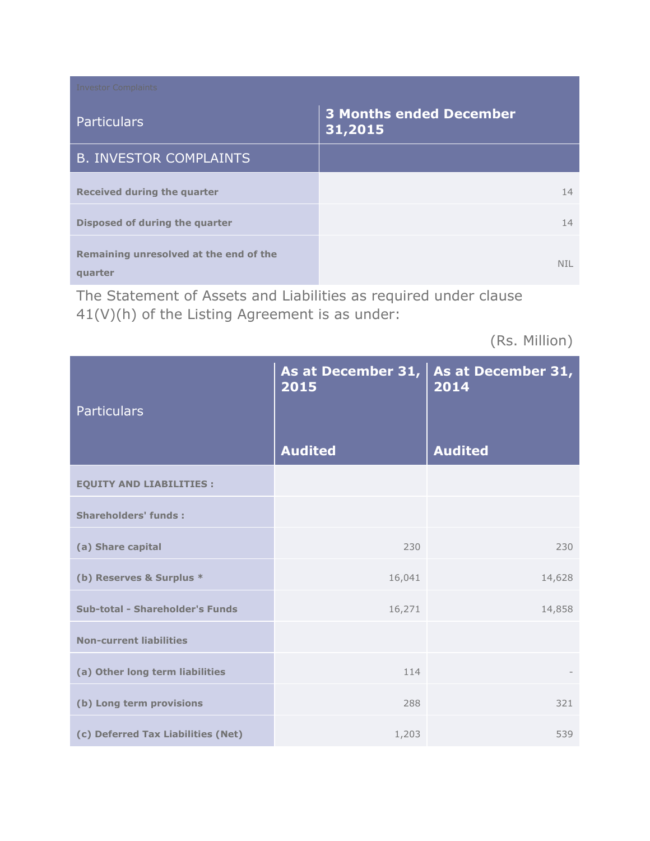| <b>Investor Complaints</b>                        |                                           |
|---------------------------------------------------|-------------------------------------------|
| <b>Particulars</b>                                | <b>3 Months ended December</b><br>31,2015 |
| <b>B. INVESTOR COMPLAINTS</b>                     |                                           |
| Received during the quarter                       | 14                                        |
| Disposed of during the quarter                    | 14                                        |
| Remaining unresolved at the end of the<br>quarter | NTL                                       |

The Statement of Assets and Liabilities as required under clause 41(V)(h) of the Listing Agreement is as under:

(Rs. Million)

| <b>Particulars</b>                 | As at December 31,<br>2015 | As at December 31,<br>2014 |
|------------------------------------|----------------------------|----------------------------|
|                                    | <b>Audited</b>             | <b>Audited</b>             |
| <b>EQUITY AND LIABILITIES :</b>    |                            |                            |
| <b>Shareholders' funds:</b>        |                            |                            |
| (a) Share capital                  | 230                        | 230                        |
| (b) Reserves & Surplus *           | 16,041                     | 14,628                     |
| Sub-total - Shareholder's Funds    | 16,271                     | 14,858                     |
| <b>Non-current liabilities</b>     |                            |                            |
| (a) Other long term liabilities    | 114                        |                            |
| (b) Long term provisions           | 288                        | 321                        |
| (c) Deferred Tax Liabilities (Net) | 1,203                      | 539                        |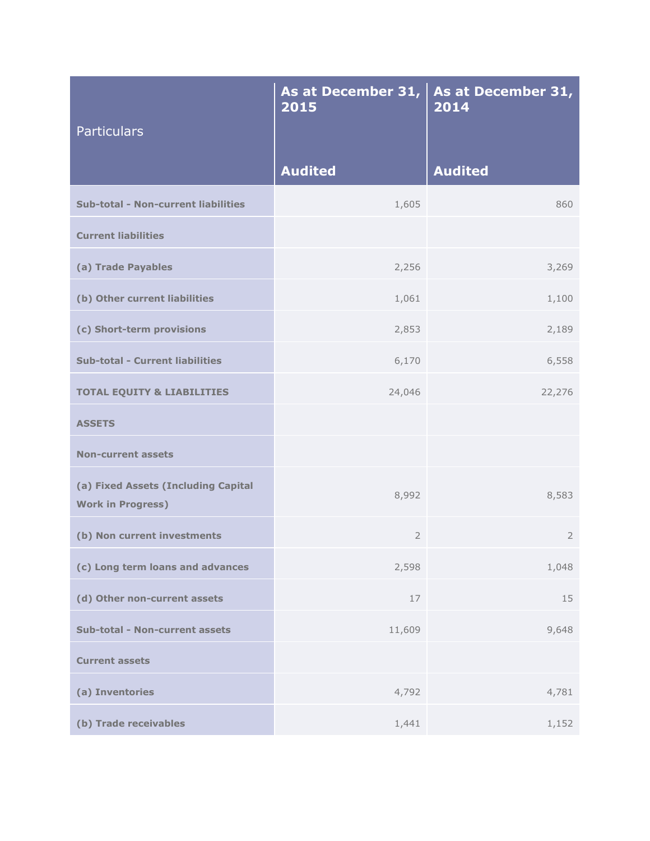| Particulars                                                     | As at December 31,<br>2015 | As at December 31,<br>2014 |
|-----------------------------------------------------------------|----------------------------|----------------------------|
|                                                                 | <b>Audited</b>             | <b>Audited</b>             |
| <b>Sub-total - Non-current liabilities</b>                      | 1,605                      | 860                        |
| <b>Current liabilities</b>                                      |                            |                            |
| (a) Trade Payables                                              | 2,256                      | 3,269                      |
| (b) Other current liabilities                                   | 1,061                      | 1,100                      |
| (c) Short-term provisions                                       | 2,853                      | 2,189                      |
| <b>Sub-total - Current liabilities</b>                          | 6,170                      | 6,558                      |
| <b>TOTAL EQUITY &amp; LIABILITIES</b>                           | 24,046                     | 22,276                     |
| <b>ASSETS</b>                                                   |                            |                            |
| <b>Non-current assets</b>                                       |                            |                            |
| (a) Fixed Assets (Including Capital<br><b>Work in Progress)</b> | 8,992                      | 8,583                      |
| (b) Non current investments                                     | $\overline{2}$             | $\overline{2}$             |
| (c) Long term loans and advances                                | 2,598                      | 1,048                      |
| (d) Other non-current assets                                    | 17                         | 15                         |
| Sub-total - Non-current assets                                  | 11,609                     | 9,648                      |
| <b>Current assets</b>                                           |                            |                            |
| (a) Inventories                                                 | 4,792                      | 4,781                      |
| (b) Trade receivables                                           | 1,441                      | 1,152                      |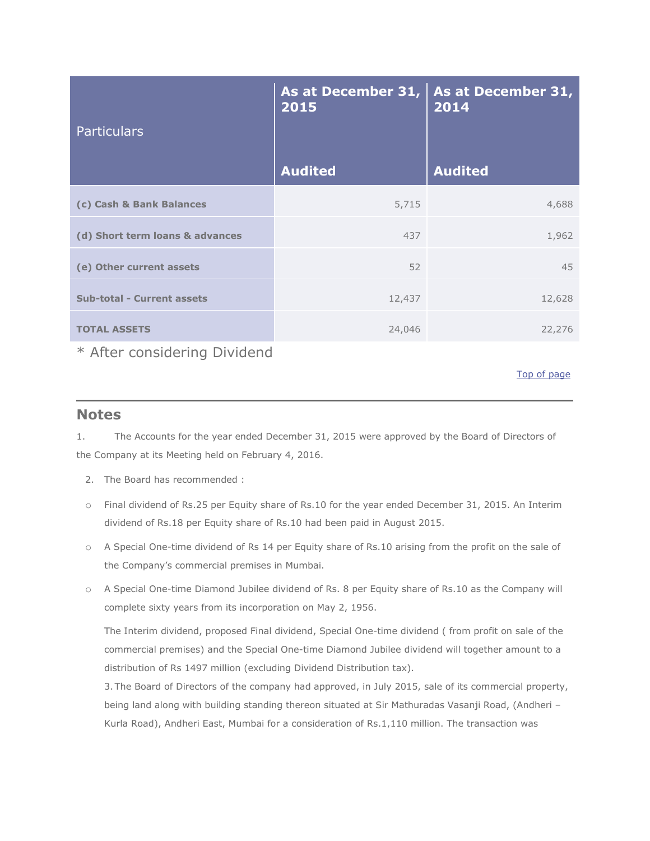| <b>Particulars</b>                | As at December 31,<br>2015 | As at December 31,<br>2014 |
|-----------------------------------|----------------------------|----------------------------|
|                                   | <b>Audited</b>             | <b>Audited</b>             |
| (c) Cash & Bank Balances          | 5,715                      | 4,688                      |
| (d) Short term loans & advances   | 437                        | 1,962                      |
| (e) Other current assets          | 52                         | 45                         |
| <b>Sub-total - Current assets</b> | 12,437                     | 12,628                     |
| <b>TOTAL ASSETS</b>               | 24,046                     | 22,276                     |

\* After considering Dividend

[Top of page](http://www.sanofiindialtd.com/l/pw/en/layout.jsp?cnt=C8B029D9-28F3-4601-BF42-29BF1B495C08#area_b)

#### **Notes**

1. The Accounts for the year ended December 31, 2015 were approved by the Board of Directors of the Company at its Meeting held on February 4, 2016.

- 2. The Board has recommended :
- o Final dividend of Rs.25 per Equity share of Rs.10 for the year ended December 31, 2015. An Interim dividend of Rs.18 per Equity share of Rs.10 had been paid in August 2015.
- o A Special One-time dividend of Rs 14 per Equity share of Rs.10 arising from the profit on the sale of the Company's commercial premises in Mumbai.
- o A Special One-time Diamond Jubilee dividend of Rs. 8 per Equity share of Rs.10 as the Company will complete sixty years from its incorporation on May 2, 1956.

The Interim dividend, proposed Final dividend, Special One-time dividend ( from profit on sale of the commercial premises) and the Special One-time Diamond Jubilee dividend will together amount to a distribution of Rs 1497 million (excluding Dividend Distribution tax).

3.The Board of Directors of the company had approved, in July 2015, sale of its commercial property, being land along with building standing thereon situated at Sir Mathuradas Vasanji Road, (Andheri – Kurla Road), Andheri East, Mumbai for a consideration of Rs.1,110 million. The transaction was